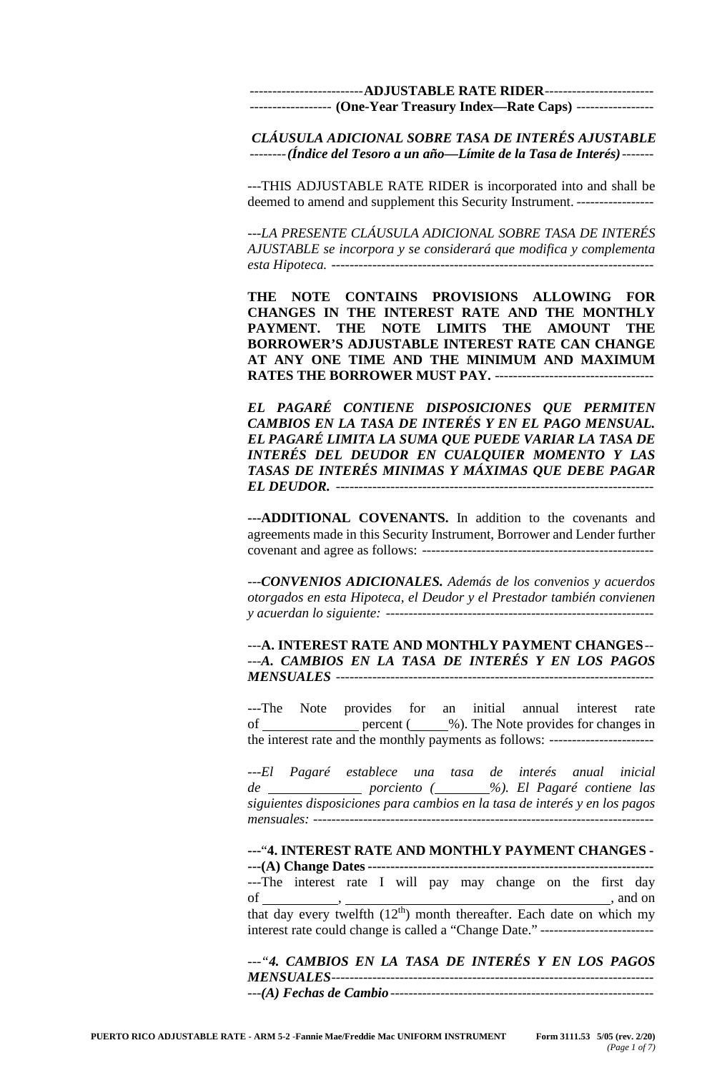-------------------------**ADJUSTABLE RATE RIDER**------------------------ ------------------ **(One-Year Treasury Index—Rate Caps)** -----------------

*CLÁUSULA ADICIONAL SOBRE TASA DE INTERÉS AJUSTABLE --------(Índice del Tesoro a un año—Límite de la Tasa de Interés)-------*

---THIS ADJUSTABLE RATE RIDER is incorporated into and shall be deemed to amend and supplement this Security Instrument. -----------------

*---LA PRESENTE CLÁUSULA ADICIONAL SOBRE TASA DE INTERÉS AJUSTABLE se incorpora y se considerará que modifica y complementa esta Hipoteca. -----------------------------------------------------------------------*

**THE NOTE CONTAINS PROVISIONS ALLOWING FOR CHANGES IN THE INTEREST RATE AND THE MONTHLY PAYMENT. THE NOTE LIMITS THE AMOUNT THE BORROWER'S ADJUSTABLE INTEREST RATE CAN CHANGE AT ANY ONE TIME AND THE MINIMUM AND MAXIMUM RATES THE BORROWER MUST PAY.** -----------------------------------

*EL PAGARÉ CONTIENE DISPOSICIONES QUE PERMITEN CAMBIOS EN LA TASA DE INTERÉS Y EN EL PAGO MENSUAL. EL PAGARÉ LIMITA LA SUMA QUE PUEDE VARIAR LA TASA DE INTERÉS DEL DEUDOR EN CUALQUIER MOMENTO Y LAS TASAS DE INTERÉS MINIMAS Y MÁXIMAS QUE DEBE PAGAR EL DEUDOR. ----------------------------------------------------------------------*

**---ADDITIONAL COVENANTS.** In addition to the covenants and agreements made in this Security Instrument, Borrower and Lender further covenant and agree as follows: ---------------------------------------------------

*---CONVENIOS ADICIONALES. Además de los convenios y acuerdos otorgados en esta Hipoteca, el Deudor y el Prestador también convienen y acuerdan lo siguiente: -----------------------------------------------------------*

---**A. INTEREST RATE AND MONTHLY PAYMENT CHANGES**-- *---A. CAMBIOS EN LA TASA DE INTERÉS Y EN LOS PAGOS MENSUALES ----------------------------------------------------------------------*

---The Note provides for an initial annual interest rate of \_\_\_\_\_\_\_\_\_\_\_\_\_ percent (\_\_\_\_%). The Note provides for changes in the interest rate and the monthly payments as follows: -----------------------

*---El Pagaré establece una tasa de interés anual inicial de porciento ( %). El Pagaré contiene las siguientes disposiciones para cambios en la tasa de interés y en los pagos mensuales: ---------------------------------------------------------------------------*

**---**"**4. INTEREST RATE AND MONTHLY PAYMENT CHANGES - ---(A) Change Dates---------------------------------------------------------------** ---The interest rate I will pay may change on the first day  $\sigma$  ,  $\sigma$ ,  $\sigma$ ,  $\sigma$ ,  $\sigma$ ,  $\sigma$ ,  $\sigma$ ,  $\sigma$ ,  $\sigma$ ,  $\sigma$ ,  $\sigma$ ,  $\sigma$ ,  $\sigma$ ,  $\sigma$ ,  $\sigma$ ,  $\sigma$ ,  $\sigma$ ,  $\sigma$ ,  $\sigma$ ,  $\sigma$ ,  $\sigma$ ,  $\sigma$ ,  $\sigma$ ,  $\sigma$ ,  $\sigma$ ,  $\sigma$ ,  $\sigma$ ,  $\sigma$ ,  $\sigma$ ,  $\sigma$ ,  $\sigma$ ,  $\sigma$ ,  $\sigma$ ,  $\sigma$ ,  $\sigma$ ,  $\sigma$ ,  $\sigma$ that day every twelfth  $(12<sup>th</sup>)$  month thereafter. Each date on which my interest rate could change is called a "Change Date." -------------------------

*---"4. CAMBIOS EN LA TASA DE INTERÉS Y EN LOS PAGOS MENSUALES----------------------------------------------------------------------- ---(A) Fechas de Cambio ----------------------------------------------------------*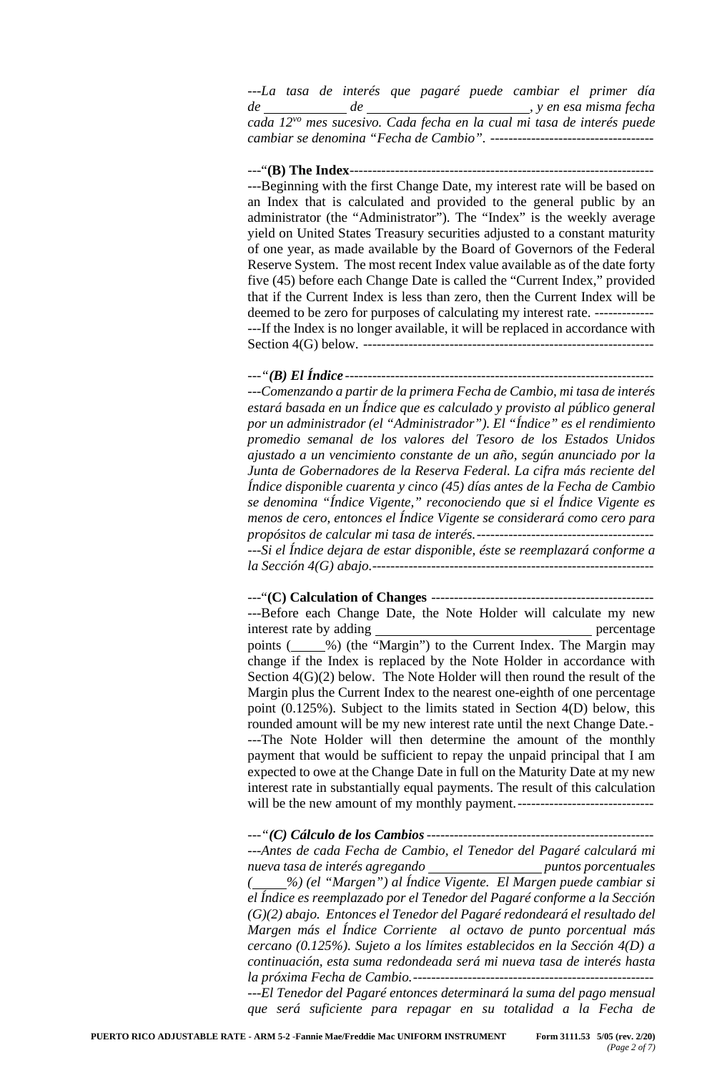*---La tasa de interés que pagaré puede cambiar el primer día de de , y en esa misma fecha cada 12vo mes sucesivo. Cada fecha en la cual mi tasa de interés puede cambiar se denomina "Fecha de Cambio". ------------------------------------*

## ---"**(B) The Index**-------------------------------------------------------------------

---Beginning with the first Change Date, my interest rate will be based on an Index that is calculated and provided to the general public by an administrator (the "Administrator"). The "Index" is the weekly average yield on United States Treasury securities adjusted to a constant maturity of one year, as made available by the Board of Governors of the Federal Reserve System. The most recent Index value available as of the date forty five (45) before each Change Date is called the "Current Index," provided that if the Current Index is less than zero, then the Current Index will be deemed to be zero for purposes of calculating my interest rate. ------------- ---If the Index is no longer available, it will be replaced in accordance with Section 4(G) below. ----------------------------------------------------------------

*---"(B) El Índice --------------------------------------------------------------------*

*---Comenzando a partir de la primera Fecha de Cambio, mi tasa de interés estará basada en un Índice que es calculado y provisto al público general por un administrador (el "Administrador"). El "Índice" es el rendimiento promedio semanal de los valores del Tesoro de los Estados Unidos ajustado a un vencimiento constante de un año, según anunciado por la Junta de Gobernadores de la Reserva Federal. La cifra más reciente del Índice disponible cuarenta y cinco (45) días antes de la Fecha de Cambio se denomina "Índice Vigente," reconociendo que si el Índice Vigente es menos de cero, entonces el Índice Vigente se considerará como cero para propósitos de calcular mi tasa de interés.---------------------------------------*

*---Si el Índice dejara de estar disponible, éste se reemplazará conforme a la Sección 4(G) abajo.--------------------------------------------------------------*

---"**(C) Calculation of Changes** -------------------------------------------------

---Before each Change Date, the Note Holder will calculate my new interest rate by adding percentage points (  $\frac{9}{2}$ ) (the "Margin") to the Current Index. The Margin may change if the Index is replaced by the Note Holder in accordance with Section 4(G)(2) below. The Note Holder will then round the result of the Margin plus the Current Index to the nearest one-eighth of one percentage point (0.125%). Subject to the limits stated in Section 4(D) below, this rounded amount will be my new interest rate until the next Change Date.- ---The Note Holder will then determine the amount of the monthly payment that would be sufficient to repay the unpaid principal that I am expected to owe at the Change Date in full on the Maturity Date at my new interest rate in substantially equal payments. The result of this calculation will be the new amount of my monthly payment.-----------------------------------

*---"(C) Cálculo de los Cambios-------------------------------------------------- ---Antes de cada Fecha de Cambio, el Tenedor del Pagaré calculará mi nueva tasa de interés agregando puntos porcentuales ( %) (el "Margen") al Índice Vigente. El Margen puede cambiar si el Índice es reemplazado por el Tenedor del Pagaré conforme a la Sección (G)(2) abajo. Entonces el Tenedor del Pagaré redondeará el resultado del Margen más el Índice Corriente al octavo de punto porcentual más cercano (0.125%). Sujeto a los límites establecidos en la Sección 4(D) a continuación, esta suma redondeada será mi nueva tasa de interés hasta la próxima Fecha de Cambio.-----------------------------------------------------*

*---El Tenedor del Pagaré entonces determinará la suma del pago mensual que será suficiente para repagar en su totalidad a la Fecha de*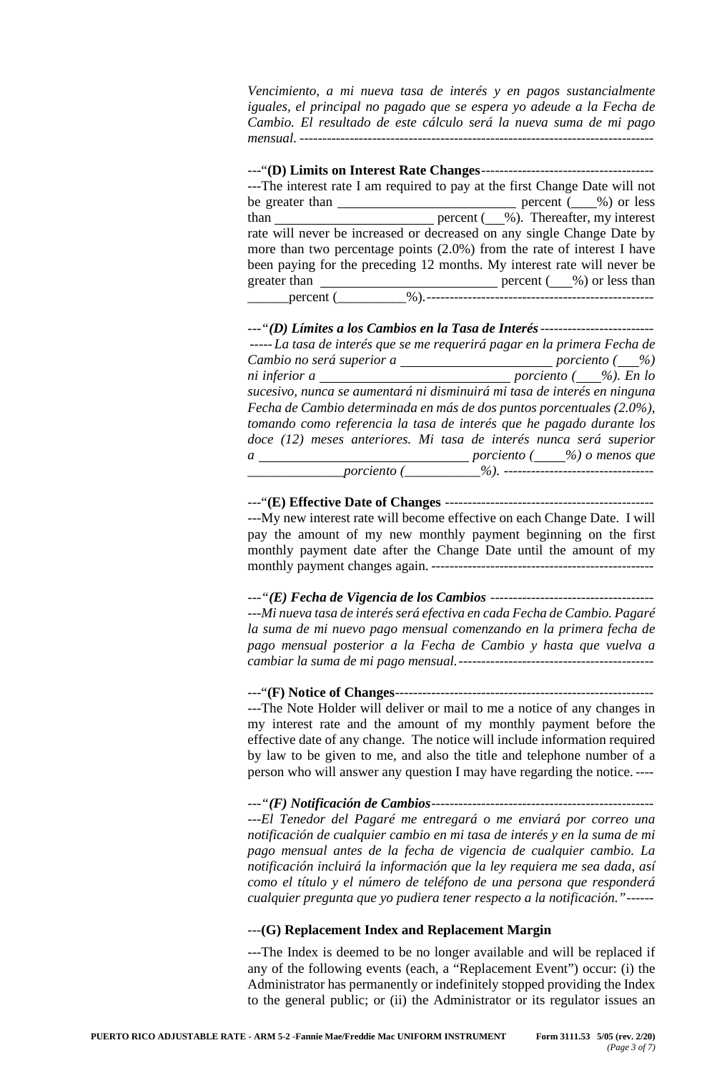*Vencimiento, a mi nueva tasa de interés y en pagos sustancialmente iguales, el principal no pagado que se espera yo adeude a la Fecha de Cambio. El resultado de este cálculo será la nueva suma de mi pago mensual. ------------------------------------------------------------------------------*

---"**(D) Limits on Interest Rate Changes**-------------------------------------- ---The interest rate I am required to pay at the first Change Date will not be greater than  $\frac{1}{\sqrt{2\pi}}$  percent  $\frac{1}{\sqrt{2}}$  or less than  $\frac{1}{\sqrt{2\pi}}$  percent  $(\frac{6}{\sqrt{2}})$ . Thereafter, my interest rate will never be increased or decreased on any single Change Date by more than two percentage points (2.0%) from the rate of interest I have been paying for the preceding 12 months. My interest rate will never be greater than **percent** (  $\frac{1}{2}$  or less than \_\_\_\_\_\_percent (\_\_\_\_\_\_\_\_\_\_%).--------------------------------------------------

*---"(D) Límites a los Cambios en la Tasa de Interés------------------------- -----La tasa de interés que se me requerirá pagar en la primera Fecha de Cambio no será superior a porciento* (  $\frac{\%}{\%}$  *porciento* (  $\frac{\%}{\%}$  ) *ni inferior a porciento ( %). En lo sucesivo, nunca se aumentará ni disminuirá mi tasa de interés en ninguna Fecha de Cambio determinada en más de dos puntos porcentuales (2.0%), tomando como referencia la tasa de interés que he pagado durante los doce (12) meses anteriores. Mi tasa de interés nunca será superior a porciento ( %) o menos que \_\_\_\_\_\_\_\_\_\_\_\_\_\_porciento (\_\_\_\_\_\_\_\_\_\_\_%). ---------------------------------*

## ---"**(E) Effective Date of Changes** ----------------------------------------------

---My new interest rate will become effective on each Change Date. I will pay the amount of my new monthly payment beginning on the first monthly payment date after the Change Date until the amount of my monthly payment changes again. -------------------------------------------------

*---"(E) Fecha de Vigencia de los Cambios ------------------------------------ ---Mi nueva tasa de interés será efectiva en cada Fecha de Cambio. Pagaré la suma de mi nuevo pago mensual comenzando en la primera fecha de pago mensual posterior a la Fecha de Cambio y hasta que vuelva a cambiar la suma de mi pago mensual.-------------------------------------------*

## ---"**(F) Notice of Changes**---------------------------------------------------------

---The Note Holder will deliver or mail to me a notice of any changes in my interest rate and the amount of my monthly payment before the effective date of any change. The notice will include information required by law to be given to me, and also the title and telephone number of a person who will answer any question I may have regarding the notice. ----

*---"(F) Notificación de Cambios------------------------------------------------- ---El Tenedor del Pagaré me entregará o me enviará por correo una notificación de cualquier cambio en mi tasa de interés y en la suma de mi pago mensual antes de la fecha de vigencia de cualquier cambio. La notificación incluirá la información que la ley requiera me sea dada, así como el título y el número de teléfono de una persona que responderá cualquier pregunta que yo pudiera tener respecto a la notificación."------*

## ---**(G) Replacement Index and Replacement Margin**

---The Index is deemed to be no longer available and will be replaced if any of the following events (each, a "Replacement Event") occur: (i) the Administrator has permanently or indefinitely stopped providing the Index to the general public; or (ii) the Administrator or its regulator issues an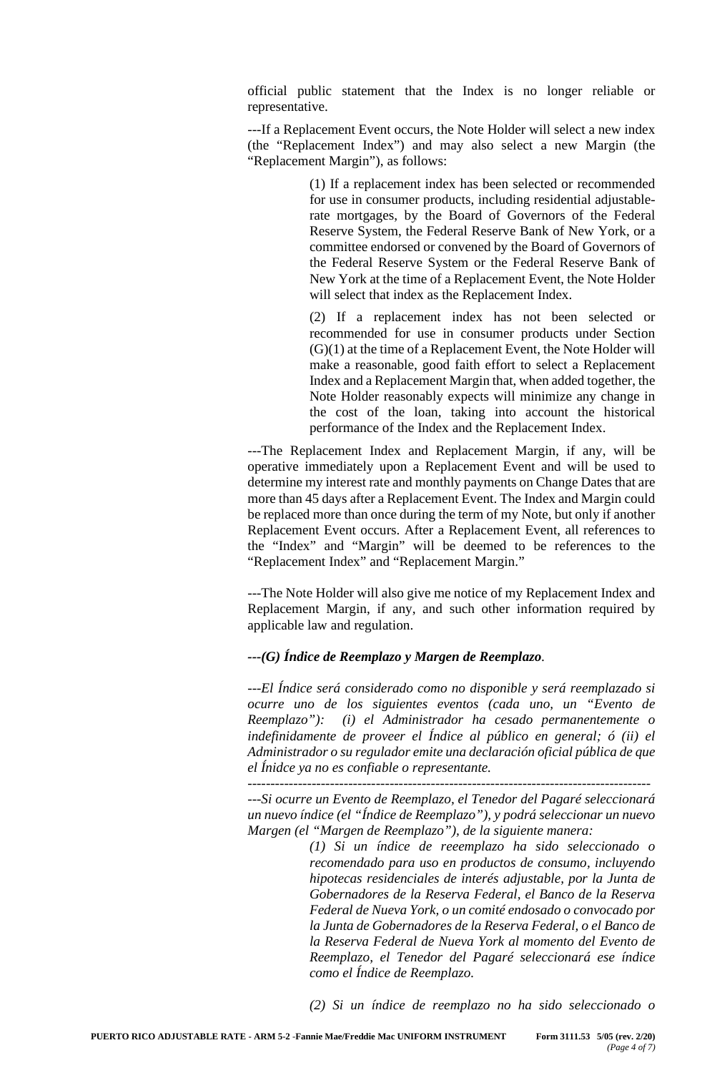official public statement that the Index is no longer reliable or representative.

---If a Replacement Event occurs, the Note Holder will select a new index (the "Replacement Index") and may also select a new Margin (the "Replacement Margin"), as follows:

> (1) If a replacement index has been selected or recommended for use in consumer products, including residential adjustablerate mortgages, by the Board of Governors of the Federal Reserve System, the Federal Reserve Bank of New York, or a committee endorsed or convened by the Board of Governors of the Federal Reserve System or the Federal Reserve Bank of New York at the time of a Replacement Event, the Note Holder will select that index as the Replacement Index.

> (2) If a replacement index has not been selected or recommended for use in consumer products under Section (G)(1) at the time of a Replacement Event, the Note Holder will make a reasonable, good faith effort to select a Replacement Index and a Replacement Margin that, when added together, the Note Holder reasonably expects will minimize any change in the cost of the loan, taking into account the historical performance of the Index and the Replacement Index.

---The Replacement Index and Replacement Margin, if any, will be operative immediately upon a Replacement Event and will be used to determine my interest rate and monthly payments on Change Dates that are more than 45 days after a Replacement Event. The Index and Margin could be replaced more than once during the term of my Note, but only if another Replacement Event occurs. After a Replacement Event, all references to the "Index" and "Margin" will be deemed to be references to the "Replacement Index" and "Replacement Margin."

---The Note Holder will also give me notice of my Replacement Index and Replacement Margin, if any, and such other information required by applicable law and regulation.

*---(G) Índice de Reemplazo y Margen de Reemplazo.*

*---El Índice será considerado como no disponible y será reemplazado si ocurre uno de los siguientes eventos (cada uno, un "Evento de Reemplazo"): (i) el Administrador ha cesado permanentemente o indefinidamente de proveer el Índice al público en general; ó (ii) el Administrador o su regulador emite una declaración oficial pública de que el Ínidce ya no es confiable o representante.*

*---------------------------------------------------------------------------------------- ---Si ocurre un Evento de Reemplazo, el Tenedor del Pagaré seleccionará un nuevo índice (el "Índice de Reemplazo"), y podrá seleccionar un nuevo Margen (el "Margen de Reemplazo"), de la siguiente manera:*

> *(1) Si un índice de reeemplazo ha sido seleccionado o recomendado para uso en productos de consumo, incluyendo hipotecas residenciales de interés adjustable, por la Junta de Gobernadores de la Reserva Federal, el Banco de la Reserva Federal de Nueva York, o un comité endosado o convocado por la Junta de Gobernadores de la Reserva Federal, o el Banco de la Reserva Federal de Nueva York al momento del Evento de Reemplazo, el Tenedor del Pagaré seleccionará ese índice como el Índice de Reemplazo.*

> *(2) Si un índice de reemplazo no ha sido seleccionado o*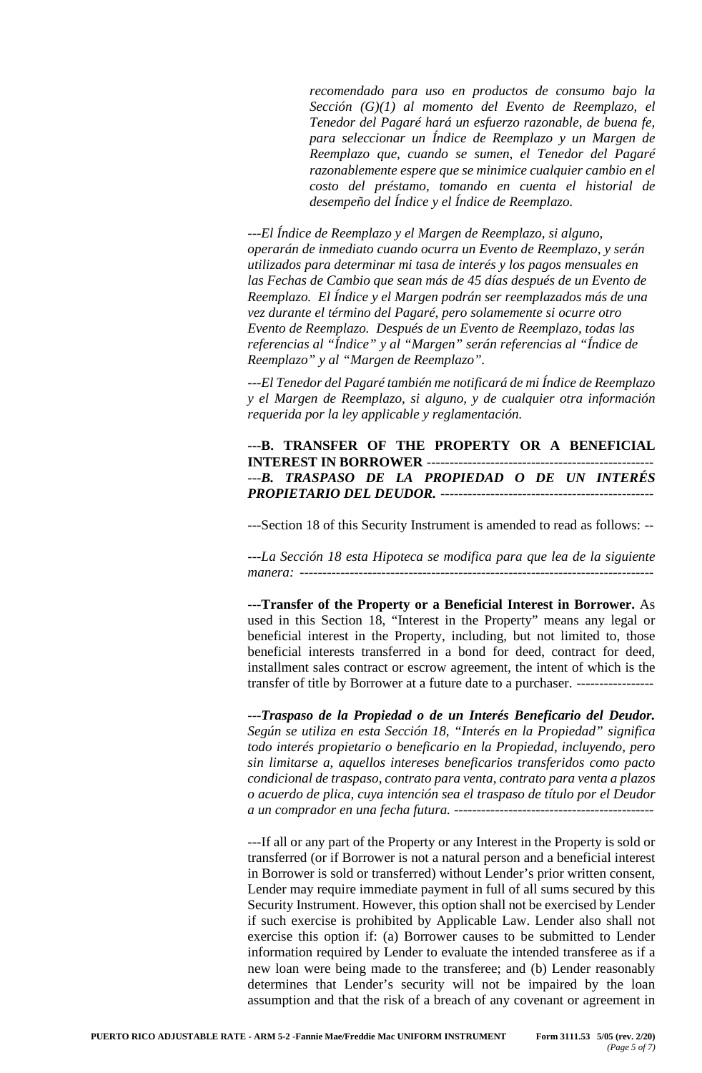*recomendado para uso en productos de consumo bajo la Sección (G)(1) al momento del Evento de Reemplazo, el Tenedor del Pagaré hará un esfuerzo razonable, de buena fe, para seleccionar un Índice de Reemplazo y un Margen de Reemplazo que, cuando se sumen, el Tenedor del Pagaré razonablemente espere que se minimice cualquier cambio en el costo del préstamo, tomando en cuenta el historial de desempeño del Índice y el Índice de Reemplazo.*

*---El Índice de Reemplazo y el Margen de Reemplazo, si alguno, operarán de inmediato cuando ocurra un Evento de Reemplazo, y serán utilizados para determinar mi tasa de interés y los pagos mensuales en las Fechas de Cambio que sean más de 45 días después de un Evento de Reemplazo. El Índice y el Margen podrán ser reemplazados más de una vez durante el término del Pagaré, pero solamemente si ocurre otro Evento de Reemplazo. Después de un Evento de Reemplazo, todas las referencias al "Índice" y al "Margen" serán referencias al "Índice de Reemplazo" y al "Margen de Reemplazo".*

*---El Tenedor del Pagaré también me notificará de mi Índice de Reemplazo y el Margen de Reemplazo, si alguno, y de cualquier otra información requerida por la ley applicable y reglamentación.*

---**B. TRANSFER OF THE PROPERTY OR A BENEFICIAL INTEREST IN BORROWER -------------***---B. TRASPASO DE LA PROPIEDAD O DE UN INTERÉS PROPIETARIO DEL DEUDOR. -----------------------------------------------*

---Section 18 of this Security Instrument is amended to read as follows: --

*---La Sección 18 esta Hipoteca se modifica para que lea de la siguiente manera: ------------------------------------------------------------------------------*

---**Transfer of the Property or a Beneficial Interest in Borrower.** As used in this Section 18, "Interest in the Property" means any legal or beneficial interest in the Property, including, but not limited to, those beneficial interests transferred in a bond for deed, contract for deed, installment sales contract or escrow agreement, the intent of which is the transfer of title by Borrower at a future date to a purchaser. -----------------

*---Traspaso de la Propiedad o de un Interés Beneficario del Deudor. Según se utiliza en esta Sección 18, "Interés en la Propiedad" significa todo interés propietario o beneficario en la Propiedad, incluyendo, pero sin limitarse a, aquellos intereses beneficarios transferidos como pacto condicional de traspaso, contrato para venta, contrato para venta a plazos o acuerdo de plica, cuya intención sea el traspaso de título por el Deudor a un comprador en una fecha futura. --------------------------------------------*

---If all or any part of the Property or any Interest in the Property is sold or transferred (or if Borrower is not a natural person and a beneficial interest in Borrower is sold or transferred) without Lender's prior written consent, Lender may require immediate payment in full of all sums secured by this Security Instrument. However, this option shall not be exercised by Lender if such exercise is prohibited by Applicable Law. Lender also shall not exercise this option if: (a) Borrower causes to be submitted to Lender information required by Lender to evaluate the intended transferee as if a new loan were being made to the transferee; and (b) Lender reasonably determines that Lender's security will not be impaired by the loan assumption and that the risk of a breach of any covenant or agreement in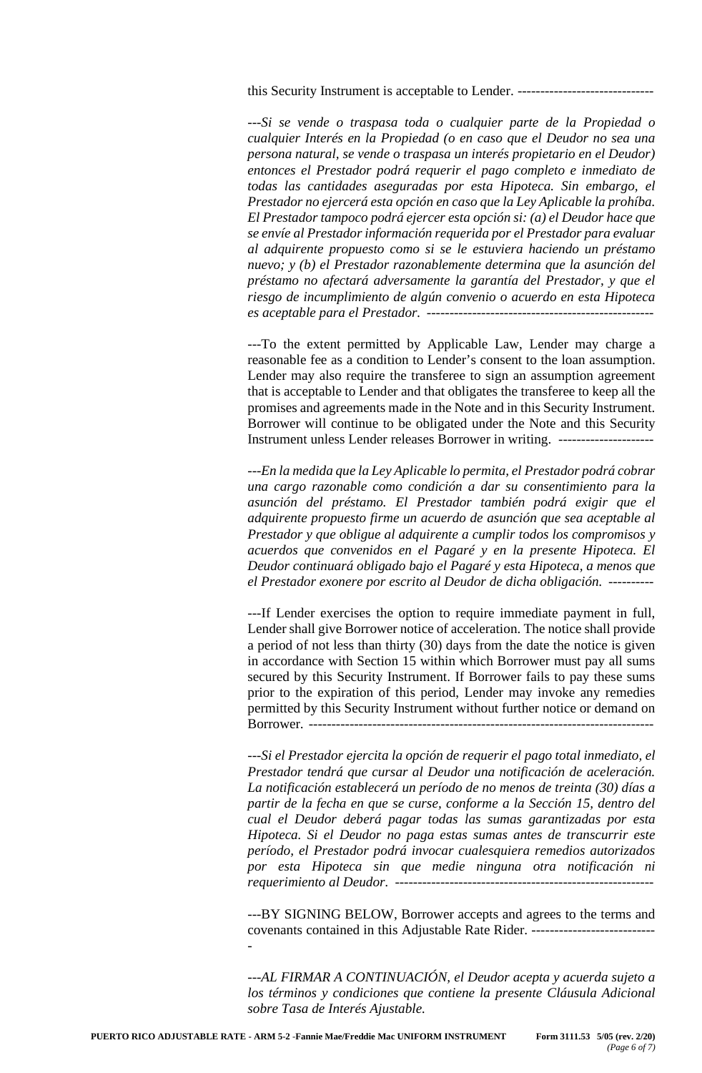this Security Instrument is acceptable to Lender. ------------------------------

*---Si se vende o traspasa toda o cualquier parte de la Propiedad o cualquier Interés en la Propiedad (o en caso que el Deudor no sea una persona natural, se vende o traspasa un interés propietario en el Deudor) entonces el Prestador podrá requerir el pago completo e inmediato de todas las cantidades aseguradas por esta Hipoteca. Sin embargo, el Prestador no ejercerá esta opción en caso que la Ley Aplicable la prohíba. El Prestador tampoco podrá ejercer esta opción si: (a) el Deudor hace que se envíe al Prestador información requerida por el Prestador para evaluar al adquirente propuesto como si se le estuviera haciendo un préstamo nuevo; y (b) el Prestador razonablemente determina que la asunción del préstamo no afectará adversamente la garantía del Prestador, y que el riesgo de incumplimiento de algún convenio o acuerdo en esta Hipoteca es aceptable para el Prestador. --------------------------------------------------*

---To the extent permitted by Applicable Law, Lender may charge a reasonable fee as a condition to Lender's consent to the loan assumption. Lender may also require the transferee to sign an assumption agreement that is acceptable to Lender and that obligates the transferee to keep all the promises and agreements made in the Note and in this Security Instrument. Borrower will continue to be obligated under the Note and this Security Instrument unless Lender releases Borrower in writing. ---------------------

*---En la medida que la Ley Aplicable lo permita, el Prestador podrá cobrar una cargo razonable como condición a dar su consentimiento para la asunción del préstamo. El Prestador también podrá exigir que el adquirente propuesto firme un acuerdo de asunción que sea aceptable al Prestador y que obligue al adquirente a cumplir todos los compromisos y acuerdos que convenidos en el Pagaré y en la presente Hipoteca. El Deudor continuará obligado bajo el Pagaré y esta Hipoteca, a menos que el Prestador exonere por escrito al Deudor de dicha obligación. ----------*

---If Lender exercises the option to require immediate payment in full, Lender shall give Borrower notice of acceleration. The notice shall provide a period of not less than thirty (30) days from the date the notice is given in accordance with Section 15 within which Borrower must pay all sums secured by this Security Instrument. If Borrower fails to pay these sums prior to the expiration of this period, Lender may invoke any remedies permitted by this Security Instrument without further notice or demand on Borrower. ----------------------------------------------------------------------------

*---Si el Prestador ejercita la opción de requerir el pago total inmediato, el Prestador tendrá que cursar al Deudor una notificación de aceleración. La notificación establecerá un período de no menos de treinta (30) días a partir de la fecha en que se curse, conforme a la Sección 15, dentro del cual el Deudor deberá pagar todas las sumas garantizadas por esta Hipoteca. Si el Deudor no paga estas sumas antes de transcurrir este período, el Prestador podrá invocar cualesquiera remedios autorizados por esta Hipoteca sin que medie ninguna otra notificación ni requerimiento al Deudor. ---------------------------------------------------------*

---BY SIGNING BELOW, Borrower accepts and agrees to the terms and covenants contained in this Adjustable Rate Rider. --------------------------- -

*---AL FIRMAR A CONTINUACIÓN, el Deudor acepta y acuerda sujeto a*  los términos y condiciones que contiene la presente Cláusula Adicional *sobre Tasa de Interés Ajustable.*